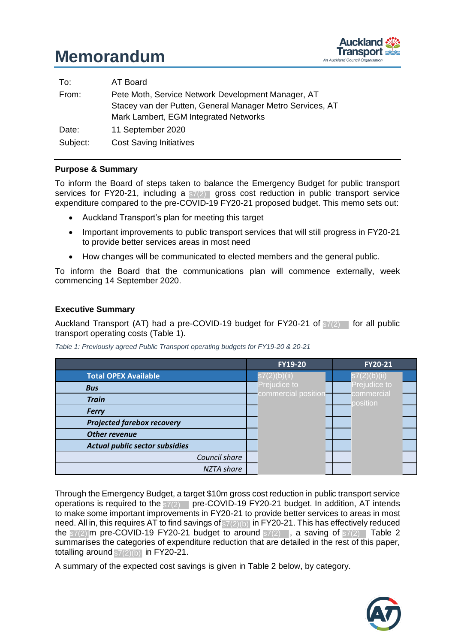

| To:      | AT Board                                                  |
|----------|-----------------------------------------------------------|
| From:    | Pete Moth, Service Network Development Manager, AT        |
|          | Stacey van der Putten, General Manager Metro Services, AT |
|          | Mark Lambert, EGM Integrated Networks                     |
| Date:    | 11 September 2020                                         |
| Subject: | <b>Cost Saving Initiatives</b>                            |

### **Purpose & Summary**

To inform the Board of steps taken to balance the Emergency Budget for public transport services for FY20-21, including a  $s7(2)$  gross cost reduction in public transport service expenditure compared to the pre-COVID-19 FY20-21 proposed budget. This memo sets out:

- Auckland Transport's plan for meeting this target i ilic
- Important improvements to public transport services that will still progress in FY20-21 to provide better services areas in most need
- How changes will be communicated to elected members and the general public. nicat

To inform the Board that the communications plan will commence externally, week commencing 14 September 2020.

### **Executive Summary**

Auckland Transport (AT) had a pre-COVID-19 budget for  $FY20-21$  of  $s7(2)$  for all public transport operating costs (Table 1).

*Table 1: Previously agreed Public Transport operating budgets for FY19-20 & 20-21*

|                                       | <b>FY19-20</b>      | <b>FY20-21</b>           |
|---------------------------------------|---------------------|--------------------------|
| <b>Total OPEX Available</b>           | s7(2)(b)(ii)        | $\mathsf{s7}(2)$ (b)(ii) |
| <b>Bus</b>                            | Prejudice to        | Prejudice to             |
| <b>Train</b>                          | commercial position | commercial<br>position   |
| <b>Ferry</b>                          |                     |                          |
| <b>Projected farebox recovery</b>     |                     |                          |
| Other revenue                         |                     |                          |
| <b>Actual public sector subsidies</b> |                     |                          |
| Council share                         |                     |                          |
| NZTA share                            |                     |                          |

Through the Emergency Budget, a target \$10m gross cost reduction in public transport service operations is required to the  $s7(2)$  pre-COVID-19 FY20-21 budget. In addition, AT intends to make some important improvements in FY20-21 to provide better services to areas in most need. All in, this requires AT to find savings of  $\frac{s7(2)}{b}$  in FY20-21. This has effectively reduced the  $\frac{1}{s7(2)}$  m pre-COVID-19 FY20-21 budget to around  $\frac{s7(2)}{s7(2)}$ , a saving of  $\frac{1}{s7(2)}$  Table 2 summarises the categories of expenditure reduction that are detailed in the rest of this paper, totalling around  $s7(2)(b)$  in FY20-21.

A summary of the expected cost savings is given in Table 2 below, by category.  $\ddot{\phantom{0}}$ commer iver dice<br>dice dice ill<br>...  $\overline{\mathbf{c}}$  ce to comme ice to ly.  $\sim$ Prejudic

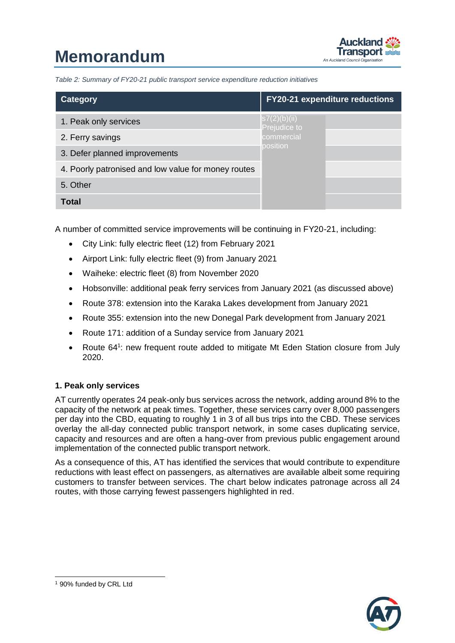

*Table 2: Summary of FY20-21 public transport service expenditure reduction initiatives* 

| Category                                            | <b>FY20-21 expenditure reductions</b> |  |  |  |
|-----------------------------------------------------|---------------------------------------|--|--|--|
| 1. Peak only services                               | s7(2)(b)(ii) <br>Prejudice to         |  |  |  |
| 2. Ferry savings                                    | commercial<br>position                |  |  |  |
| 3. Defer planned improvements                       |                                       |  |  |  |
| 4. Poorly patronised and low value for money routes |                                       |  |  |  |
| 5. Other                                            |                                       |  |  |  |
| Total                                               |                                       |  |  |  |

A number of committed service improvements will be continuing in FY20-21, including:

- City Link: fully electric fleet (12) from February 2021
- Airport Link: fully electric fleet (9) from January 2021
- Waiheke: electric fleet (8) from November 2020
- Hobsonville: additional peak ferry services from January 2021 (as discussed above)
- Route 378: extension into the Karaka Lakes development from January 2021
- Route 355: extension into the new Donegal Park development from January 2021
- Route 171: addition of a Sunday service from January 2021
- Route 64<sup>1</sup>: new frequent route added to mitigate Mt Eden Station closure from July 2020.

### **1. Peak only services**

AT currently operates 24 peak-only bus services across the network, adding around 8% to the capacity of the network at peak times. Together, these services carry over 8,000 passengers per day into the CBD, equating to roughly 1 in 3 of all bus trips into the CBD. These services overlay the all-day connected public transport network, in some cases duplicating service, capacity and resources and are often a hang-over from previous public engagement around implementation of the connected public transport network.

As a consequence of this, AT has identified the services that would contribute to expenditure reductions with least effect on passengers, as alternatives are available albeit some requiring customers to transfer between services. The chart below indicates patronage across all 24 routes, with those carrying fewest passengers highlighted in red.



-

<sup>1</sup> 90% funded by CRL Ltd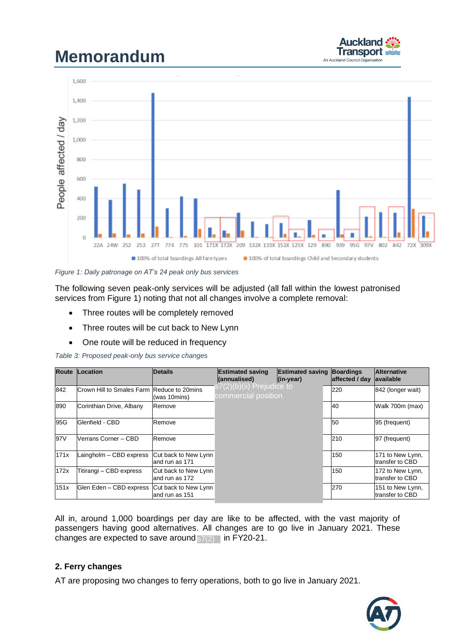



*Figure 1: Daily patronage on AT's 24 peak only bus services* 

The following seven peak-only services will be adjusted (all fall within the lowest patronised services from Figure 1) noting that not all changes involve a complete removal:

- Three routes will be completely removed
- Three routes will be cut back to New Lynn
- One route will be reduced in frequency

|      | Table 5. Proposed peak-only bus service changes |                                         |                                                  |                                          |                                    |                                     |  |  |  |
|------|-------------------------------------------------|-----------------------------------------|--------------------------------------------------|------------------------------------------|------------------------------------|-------------------------------------|--|--|--|
|      | <b>Route Location</b>                           | <b>Details</b>                          | <b>Estimated saving</b><br>(annualised)          | <b>Estimated saving</b><br>$ $ (in-year) | <b>Boardings</b><br>affected / day | <b>Alternative</b><br>lavailable    |  |  |  |
| 842  | Crown Hill to Smales Farm Reduce to 20mins      | (was 10mins)                            | s7(2)(b)(ii) Prejudice to<br>commercial position |                                          | 220                                | 842 (longer wait)                   |  |  |  |
| 890  | Corinthian Drive, Albany                        | Remove                                  |                                                  |                                          | 40                                 | Walk 700m (max)                     |  |  |  |
| 95G  | Glenfield - CBD                                 | Remove                                  |                                                  |                                          | 50                                 | 95 (frequent)                       |  |  |  |
| 97V  | Verrans Corner – CBD                            | Remove                                  |                                                  |                                          | 210                                | 97 (frequent)                       |  |  |  |
| 171x | Laingholm - CBD express                         | Cut back to New Lynn<br>land run as 171 |                                                  |                                          | 150                                | 171 to New Lynn,<br>transfer to CBD |  |  |  |
| 172x | Titirangi - CBD express                         | Cut back to New Lynn<br>land run as 172 |                                                  |                                          | 150                                | 172 to New Lynn,<br>transfer to CBD |  |  |  |
| 151x | Glen Eden - CBD express                         | Cut back to New Lynn<br>land run as 151 |                                                  |                                          | 270                                | 151 to New Lynn,<br>transfer to CBD |  |  |  |

*Table 3: Proposed peak-only bus service changes* 

All in, around 1,000 boardings per day are like to be affected, with the vast majority of passengers having good alternatives. All changes are to go live in January 2021. These changes are expected to save around  $s7(2)$  in FY20-21.

## **2. Ferry changes**

AT are proposing two changes to ferry operations, both to go live in January 2021. oher

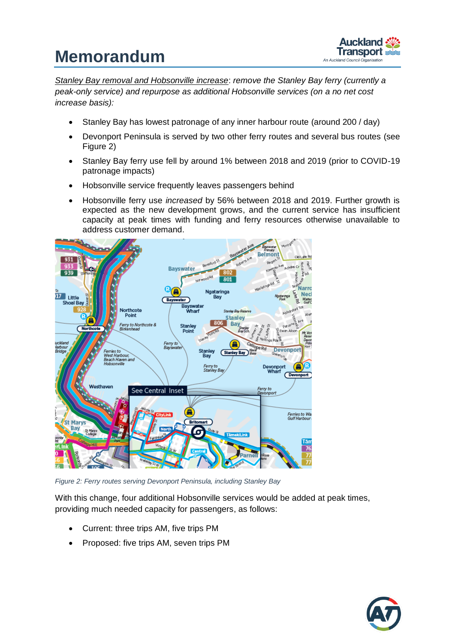

*Stanley Bay removal and Hobsonville increase*: *remove the Stanley Bay ferry (currently a peak-only service) and repurpose as additional Hobsonville services (on a no net cost increase basis):*

- Stanley Bay has lowest patronage of any inner harbour route (around 200 / day)
- Devonport Peninsula is served by two other ferry routes and several bus routes (see Figure 2)
- Stanley Bay ferry use fell by around 1% between 2018 and 2019 (prior to COVID-19 patronage impacts)
- Hobsonville service frequently leaves passengers behind
- Hobsonville ferry use *increased* by 56% between 2018 and 2019. Further growth is expected as the new development grows, and the current service has insufficient capacity at peak times with funding and ferry resources otherwise unavailable to address customer demand.



*Figure 2: Ferry routes serving Devonport Peninsula, including Stanley Bay*

With this change, four additional Hobsonville services would be added at peak times, providing much needed capacity for passengers, as follows:

- Current: three trips AM, five trips PM
- Proposed: five trips AM, seven trips PM

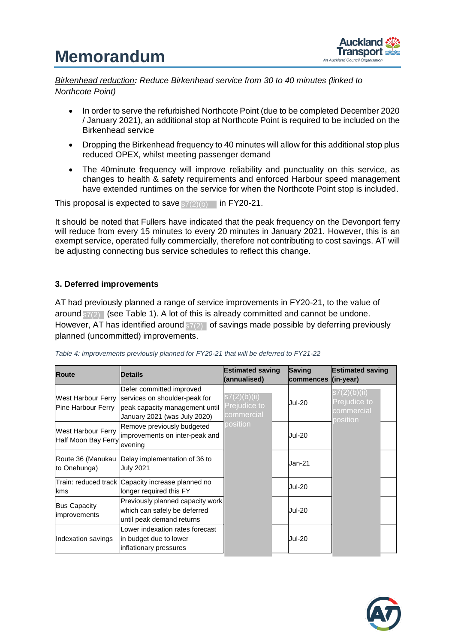

*Birkenhead reduction: Reduce Birkenhead service from 30 to 40 minutes (linked to Northcote Point)* 

- In order to serve the refurbished Northcote Point (due to be completed December 2020 / January 2021), an additional stop at Northcote Point is required to be included on the Birkenhead service
- Dropping the Birkenhead frequency to 40 minutes will allow for this additional stop plus reduced OPEX, whilst meeting passenger demand
- The 40minute frequency will improve reliability and punctuality on this service, as changes to health & safety requirements and enforced Harbour speed management have extended runtimes on the service for when the Northcote Point stop is included.

This proposal is expected to save  $s7(2)(b)$  in FY20-21.

It should be noted that Fullers have indicated that the peak frequency on the Devonport ferry will reduce from every 15 minutes to every 20 minutes in January 2021. However, this is an exempt service, operated fully commercially, therefore not contributing to cost savings. AT will be adjusting connecting bus service schedules to reflect this change. e indicate

### **3. Deferred improvements**

AT had previously planned a range of service improvements in FY20-21, to the value of around  $s7(2)$  (see Table 1). A lot of this is already committed and cannot be undone. However, AT has identified around  $s7(2)$  of savings made possible by deferring previously planned (uncommitted) improvements. dice dice die the control of the control of the control of the control of the control of the control of the control of the control of the control of the control of the control of the control of the control of the control o nts.

| <b>Route</b>                                     | <b>Details</b>                                                                                                              | <b>Estimated saving</b><br>(annualised)    | Saving<br><b>commences</b> | <b>Estimated saving</b><br>$\langle$ in-year)          |  |
|--------------------------------------------------|-----------------------------------------------------------------------------------------------------------------------------|--------------------------------------------|----------------------------|--------------------------------------------------------|--|
| West Harbour Ferry<br>Pine Harbour Ferry         | Defer committed improved<br>services on shoulder-peak for<br>peak capacity management until<br>January 2021 (was July 2020) | s7(2)(b)(ii)<br>Prejudice to<br>commercial | <b>Jul-20</b>              | s7(2)(b)(ii)<br>Prejudice to<br>commercial<br>position |  |
| <b>West Harbour Ferry</b><br>Half Moon Bay Ferry | Remove previously budgeted<br>improvements on inter-peak and<br>evening                                                     | position                                   | <b>Jul-20</b>              |                                                        |  |
| Route 36 (Manukau<br>to Onehunga)                | Delay implementation of 36 to<br><b>July 2021</b>                                                                           |                                            | Jan-21                     |                                                        |  |
| kms                                              | Train: reduced track Capacity increase planned no<br>longer required this FY                                                |                                            | <b>Jul-20</b>              |                                                        |  |
| <b>Bus Capacity</b><br><i>improvements</i>       | Previously planned capacity work<br>which can safely be deferred<br>until peak demand returns                               |                                            | <b>Jul-20</b>              |                                                        |  |
| Indexation savings                               | Lower indexation rates forecast<br>in budget due to lower<br>inflationary pressures                                         |                                            | <b>Jul-20</b>              |                                                        |  |

Table 4: improvements previously planned for FY20-21 that will be deferred to FY21-22 comm

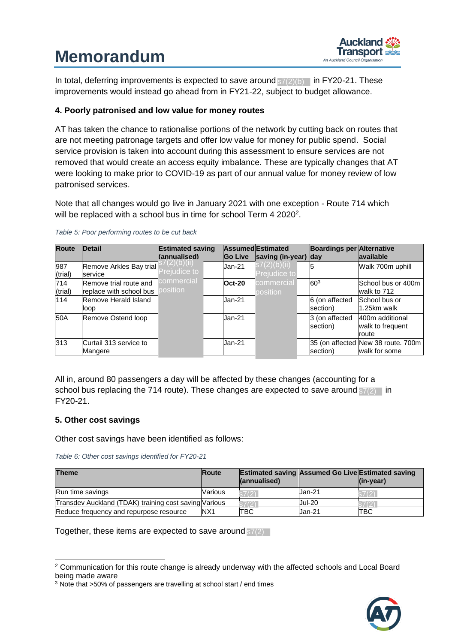

In total, deferring improvements is expected to save around  $s7(2)(b)$  in FY20-21. These improvements would instead go ahead from in FY21-22, subject to budget allowance.

### **4. Poorly patronised and low value for money routes**

AT has taken the chance to rationalise portions of the network by cutting back on routes that are not meeting patronage targets and offer low value for money for public spend. Social service provision is taken into account during this assessment to ensure services are not removed that would create an access equity imbalance. These are typically changes that AT were looking to make prior to COVID-19 as part of our annual value for money review of low patronised services.

Note that all changes would go live in January 2021 with one exception - Route 714 which will be replaced with a school bus in time for school Term 4 2020<sup>2</sup>.

| <b>Route</b>   | <b>Detail</b>                                     | <b>Estimated saving</b><br>(annualised) | <b>Go Live</b> | Assumed Estimated<br>saving (in-year) day | <b>Boardings per Alternative</b> | <b>lavailable</b>                                   |
|----------------|---------------------------------------------------|-----------------------------------------|----------------|-------------------------------------------|----------------------------------|-----------------------------------------------------|
| 987<br>(trial) | Remove Arkles Bay trial<br>service                | (Z)(D)(II)<br>Prejudice to              | Jan-21         | s7(2)(b)(ii),<br>Prejudice to             | 5                                | Walk 700m uphill                                    |
| 714<br>(trial) | Remove trial route and<br>replace with school bus | commercial<br>position                  | $Oct-20$       | commercial<br>position                    | 603                              | School bus or 400m<br>walk to 712                   |
| 114            | Remove Herald Island<br>loop                      |                                         | Jan-21         |                                           | 6 (on affected<br>section)       | School bus or<br>1.25km walk                        |
| 50A            | Remove Ostend loop                                |                                         | Jan-21         |                                           | 3 (on affected<br>section)       | 400m additional<br>walk to frequent<br>route        |
| 313            | Curtail 313 service to<br>Mangere                 |                                         | Jan-21         |                                           | section)                         | 35 (on affected New 38 route. 700m<br>walk for some |

#### *Table 5: Poor performing routes to be cut back*

All in, around 80 passengers a day will be affected by these changes (accounting for a school bus replacing the 714 route). These changes are expected to save around  $s7(2)$  in FY20-21.

### **5. Other cost savings**

-

Other cost savings have been identified as follows:

| Table 6: Other cost savings identified for FY20-21 |  |
|----------------------------------------------------|--|
|----------------------------------------------------|--|

| <b>Theme</b>                                          | <b>Route</b>    | <b>Estimated saving Assumed Go Live Estimated saving</b><br>(annualised) |               | $\mathsf{lin}\text{-}\mathsf{vear}$ |
|-------------------------------------------------------|-----------------|--------------------------------------------------------------------------|---------------|-------------------------------------|
| Run time savings                                      | Various         | 67(2)                                                                    | Jan-21        |                                     |
| Transdev Auckland (TDAK) training cost saving Various |                 |                                                                          | <b>Jul-20</b> |                                     |
| Reduce frequency and repurpose resource               | N <sub>X1</sub> | <b>TBC</b>                                                               | Jan-21        | ITBC                                |

com

Together, these items are expected to save around  $\frac{1}{\mathsf{S7}(2)}$ 



 $2$  Communication for this route change is already underway with the affected schools and Local Board being made aware Lo  $\mathsf{r}\mathsf{w}$ 'ay wit

being made aware<br><sup>3</sup> Note that >50% of passengers are travelling at school start / end times / e positime<br>Positions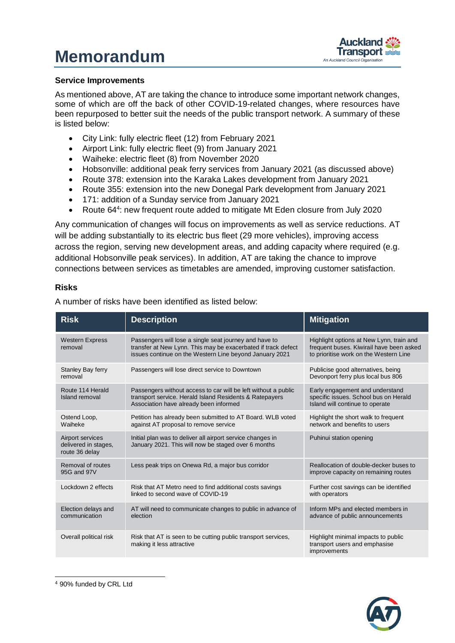

### **Service Improvements**

As mentioned above, AT are taking the chance to introduce some important network changes, some of which are off the back of other COVID-19-related changes, where resources have been repurposed to better suit the needs of the public transport network. A summary of these is listed below:

- City Link: fully electric fleet (12) from February 2021
- Airport Link: fully electric fleet (9) from January 2021
- Waiheke: electric fleet (8) from November 2020
- Hobsonville: additional peak ferry services from January 2021 (as discussed above)
- Route 378: extension into the Karaka Lakes development from January 2021
- Route 355: extension into the new Donegal Park development from January 2021
- 171: addition of a Sunday service from January 2021
- Route 64<sup>4</sup>: new frequent route added to mitigate Mt Eden closure from July 2020

Any communication of changes will focus on improvements as well as service reductions. AT will be adding substantially to its electric bus fleet (29 more vehicles), improving access across the region, serving new development areas, and adding capacity where required (e.g. additional Hobsonville peak services). In addition, AT are taking the chance to improve connections between services as timetables are amended, improving customer satisfaction.

### **Risks**

A number of risks have been identified as listed below:

| <b>Risk</b>                                                | <b>Description</b>                                                                                                                                                                 | <b>Mitigation</b>                                                                                                              |
|------------------------------------------------------------|------------------------------------------------------------------------------------------------------------------------------------------------------------------------------------|--------------------------------------------------------------------------------------------------------------------------------|
| <b>Western Express</b><br>removal                          | Passengers will lose a single seat journey and have to<br>transfer at New Lynn. This may be exacerbated if track defect<br>issues continue on the Western Line beyond January 2021 | Highlight options at New Lynn, train and<br>frequent buses. Kiwirail have been asked<br>to prioritise work on the Western Line |
| Stanley Bay ferry<br>removal                               | Passengers will lose direct service to Downtown                                                                                                                                    | Publicise good alternatives, being<br>Devonport ferry plus local bus 806                                                       |
| Route 114 Herald<br>Island removal                         | Passengers without access to car will be left without a public<br>transport service. Herald Island Residents & Ratepayers<br>Association have already been informed                | Early engagement and understand<br>specific issues. School bus on Herald<br>Island will continue to operate                    |
| Ostend Loop,<br>Waiheke                                    | Petition has already been submitted to AT Board. WLB voted<br>against AT proposal to remove service                                                                                | Highlight the short walk to frequent<br>network and benefits to users                                                          |
| Airport services<br>delivered in stages.<br>route 36 delay | Initial plan was to deliver all airport service changes in<br>January 2021. This will now be staged over 6 months                                                                  | Puhinui station opening                                                                                                        |
| Removal of routes<br>95G and 97V                           | Less peak trips on Onewa Rd, a major bus corridor                                                                                                                                  | Reallocation of double-decker buses to<br>improve capacity on remaining routes                                                 |
| Lockdown 2 effects                                         | Risk that AT Metro need to find additional costs savings<br>linked to second wave of COVID-19                                                                                      | Further cost savings can be identified<br>with operators                                                                       |
| Election delays and<br>communication                       | AT will need to communicate changes to public in advance of<br>election                                                                                                            | Inform MPs and elected members in<br>advance of public announcements                                                           |
| Overall political risk                                     | Risk that AT is seen to be cutting public transport services.<br>making it less attractive                                                                                         | Highlight minimal impacts to public<br>transport users and emphasise<br>improvements                                           |

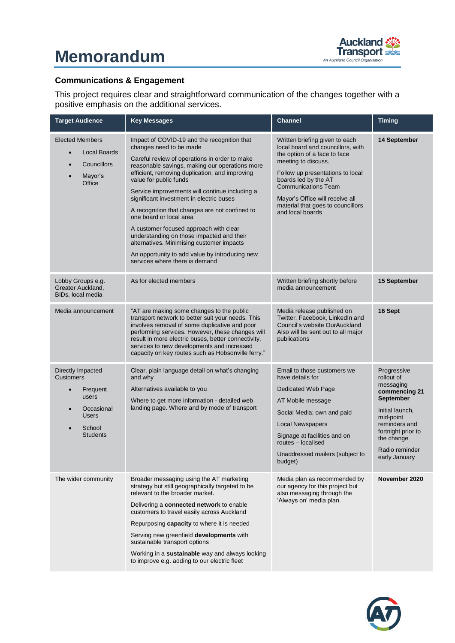

## **Communications & Engagement**

This project requires clear and straightforward communication of the changes together with a positive emphasis on the additional services.

| <b>Target Audience</b>                                                                                                                          | <b>Key Messages</b>                                                                                                                                                                                                                                                                                                                                                                                                                                                                                                                                                                                                                                      | <b>Channel</b>                                                                                                                                                                                                                                                                                                   | <b>Timing</b>                                                                                                                                                                                       |
|-------------------------------------------------------------------------------------------------------------------------------------------------|----------------------------------------------------------------------------------------------------------------------------------------------------------------------------------------------------------------------------------------------------------------------------------------------------------------------------------------------------------------------------------------------------------------------------------------------------------------------------------------------------------------------------------------------------------------------------------------------------------------------------------------------------------|------------------------------------------------------------------------------------------------------------------------------------------------------------------------------------------------------------------------------------------------------------------------------------------------------------------|-----------------------------------------------------------------------------------------------------------------------------------------------------------------------------------------------------|
| <b>Elected Members</b><br>Local Boards<br>$\bullet$<br>Councillors<br>Mayor's<br>Office                                                         | Impact of COVID-19 and the recognition that<br>changes need to be made<br>Careful review of operations in order to make<br>reasonable savings, making our operations more<br>efficient, removing duplication, and improving<br>value for public funds<br>Service improvements will continue including a<br>significant investment in electric buses<br>A recognition that changes are not confined to<br>one board or local area<br>A customer focused approach with clear<br>understanding on those impacted and their<br>alternatives. Minimising customer impacts<br>An opportunity to add value by introducing new<br>services where there is demand | Written briefing given to each<br>local board and councillors, with<br>the option of a face to face<br>meeting to discuss.<br>Follow up presentations to local<br>boards led by the AT<br><b>Communications Team</b><br>Mayor's Office will receive all<br>material that goes to councillors<br>and local boards | 14 September                                                                                                                                                                                        |
| Lobby Groups e.g.<br>Greater Auckland,<br>BIDs, local media                                                                                     | As for elected members                                                                                                                                                                                                                                                                                                                                                                                                                                                                                                                                                                                                                                   | Written briefing shortly before<br>media announcement                                                                                                                                                                                                                                                            | 15 September                                                                                                                                                                                        |
| Media announcement                                                                                                                              | "AT are making some changes to the public<br>transport network to better suit your needs. This<br>involves removal of some duplicative and poor<br>performing services. However, these changes will<br>result in more electric buses, better connectivity,<br>services to new developments and increased<br>capacity on key routes such as Hobsonville ferry."                                                                                                                                                                                                                                                                                           | Media release published on<br>Twitter, Facebook, LinkedIn and<br>Council's website OurAuckland<br>Also will be sent out to all major<br>publications                                                                                                                                                             | 16 Sept                                                                                                                                                                                             |
| Directly Impacted<br><b>Customers</b><br>Frequent<br>users<br>Occasional<br>$\bullet$<br><b>Users</b><br>School<br>$\bullet$<br><b>Students</b> | Clear, plain language detail on what's changing<br>and why<br>Alternatives available to you<br>Where to get more information - detailed web<br>landing page. Where and by mode of transport                                                                                                                                                                                                                                                                                                                                                                                                                                                              | Email to those customers we<br>have details for<br>Dedicated Web Page<br>AT Mobile message<br>Social Media; own and paid<br><b>Local Newspapers</b><br>Signage at facilities and on<br>routes - localised<br>Unaddressed mailers (subject to<br>budget)                                                          | Progressive<br>rollout of<br>messaging<br>commencing 21<br><b>September</b><br>Initial launch,<br>mid-point<br>reminders and<br>fortnight prior to<br>the change<br>Radio reminder<br>early January |
| The wider community                                                                                                                             | Broader messaging using the AT marketing<br>strategy but still geographically targeted to be<br>relevant to the broader market.<br>Delivering a connected network to enable<br>customers to travel easily across Auckland<br>Repurposing <b>capacity</b> to where it is needed<br>Serving new greenfield developments with<br>sustainable transport options<br>Working in a sustainable way and always looking<br>to improve e.g. adding to our electric fleet                                                                                                                                                                                           | Media plan as recommended by<br>our agency for this project but<br>also messaging through the<br>'Always on' media plan.                                                                                                                                                                                         | November 2020                                                                                                                                                                                       |

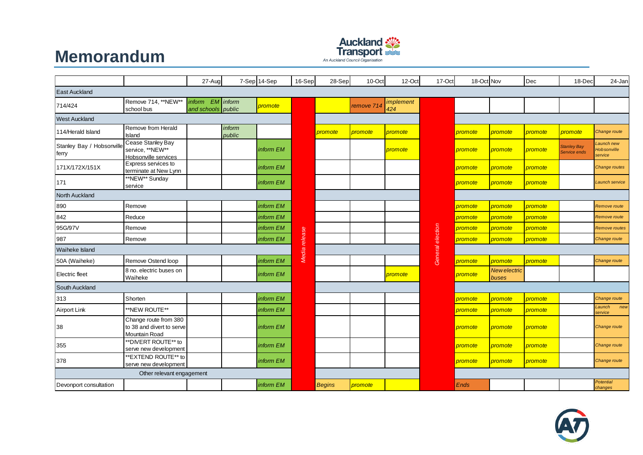

|                                    | <b>Memorandum</b><br>$\frac{1}{2}$<br>An Auckland Council Organisation |                                     |                  |              |         |                      |                |                         |                  |                      |                              |                |                             |                                     |
|------------------------------------|------------------------------------------------------------------------|-------------------------------------|------------------|--------------|---------|----------------------|----------------|-------------------------|------------------|----------------------|------------------------------|----------------|-----------------------------|-------------------------------------|
|                                    |                                                                        | 27-Aug                              |                  | 7-Sep 14-Sep | 16-Sep  | 28-Sep               | 10-Oct         | 12-Oct                  | 17-Oct           | 18-Oct Nov           |                              | Dec            | 18-Dec                      | 24-Jan                              |
| <b>East Auckland</b>               |                                                                        |                                     |                  |              |         |                      |                |                         |                  |                      |                              |                |                             |                                     |
| 714/424                            | Remove 714, **NEW**<br>school bus                                      | <i>inform</i><br>and schools public | $EM$ inform      | promote      |         |                      | remove 71      | <i>implement</i><br>424 |                  |                      |                              |                |                             |                                     |
| <b>West Auckland</b>               |                                                                        |                                     |                  |              |         |                      |                |                         |                  |                      |                              |                |                             |                                     |
| 114/Herald Island                  | Remove from Herald<br>Island                                           |                                     | inform<br>public |              |         | <mark>promote</mark> | <i>promote</i> | promote                 |                  | promote              | promote                      | promote        | <mark>promote</mark>        | Change route                        |
| Stanley Bay / Hobsonville<br>ferry | Cease Stanley Bay<br>service, **NEW**<br>Hobsonville services          |                                     |                  | inform EM    |         |                      |                | promote                 |                  | <mark>promote</mark> | promote                      | promote        | Stanley Bay<br>Service ends | aunch new<br>Hobsonville<br>service |
| 171X/172X/151X                     | Express services to<br>terminate at New Lynn                           |                                     |                  | inform EM    |         |                      |                |                         |                  | promote              | promote                      | promote        |                             | Change routes                       |
| 171                                | **NEW** Sunday<br>service                                              |                                     |                  | inform EM    |         |                      |                |                         |                  | promote              | promote                      | promote        |                             | Launch service                      |
| North Auckland                     |                                                                        |                                     |                  |              |         |                      |                |                         |                  |                      |                              |                |                             |                                     |
| 890                                | Remove                                                                 |                                     |                  | inform EM    |         |                      |                |                         |                  | <mark>promote</mark> | promote                      | promote        |                             | Remove route                        |
| 842                                | Reduce                                                                 |                                     |                  | inform EM    |         |                      |                |                         |                  | <mark>promote</mark> | promote                      | promote        |                             | Remove route                        |
| 95G/97V                            | Remove                                                                 |                                     |                  | inform EM    |         |                      |                |                         |                  | <mark>promote</mark> | promote                      | promote        |                             | Remove routes                       |
| 987                                | Remove                                                                 |                                     |                  | inform EM    | release |                      |                |                         | General election | <mark>promote</mark> | promote                      | <i>promote</i> |                             | Change route                        |
| Waiheke Island                     |                                                                        |                                     |                  |              | Media   |                      |                |                         |                  |                      |                              |                |                             |                                     |
| 50A (Waiheke)                      | Remove Ostend loop                                                     |                                     |                  | inform EM    |         |                      |                |                         |                  | <mark>promote</mark> | promote                      | promote        |                             | Change route                        |
| <b>Electric fleet</b>              | 8 no. electric buses on<br>Waiheke                                     |                                     |                  | inform EM    |         |                      |                | promote                 |                  | <mark>promote</mark> | <b>New electric</b><br>buses |                |                             |                                     |
| South Auckland                     |                                                                        |                                     |                  |              |         |                      |                |                         |                  |                      |                              |                |                             |                                     |
| 313                                | Shorten                                                                |                                     |                  | inform EM    |         |                      |                |                         |                  | promote              | promote                      | promote        |                             | Change route                        |
| <b>Airport Link</b>                | **NEW ROUTE**                                                          |                                     |                  | inform EM    |         |                      |                |                         |                  | <mark>promote</mark> | promote                      | promote        |                             | Launch<br>new<br>service            |
| 38                                 | Change route from 380<br>to 38 and divert to serve<br>Mountain Road    |                                     |                  | inform EM    |         |                      |                |                         |                  | promote              | promote                      | promote        |                             | Change route                        |
| 355                                | **DIVERT ROUTE** to<br>serve new development                           |                                     |                  | inform EM    |         |                      |                |                         |                  | promote              | promote                      | promote        |                             | Change route                        |
| 378                                | **EXTEND ROUTE** to<br>serve new development                           |                                     |                  | inform EM    |         |                      |                |                         |                  | promote              | promote                      | promote        |                             | Change route                        |
|                                    | Other relevant engagement                                              |                                     |                  |              |         |                      |                |                         |                  |                      |                              |                |                             |                                     |
| Devonport consultation             |                                                                        |                                     |                  | inform EM    |         | <b>Begins</b>        | promote        |                         |                  | <b>Ends</b>          |                              |                |                             | <b>Potential</b><br>changes         |